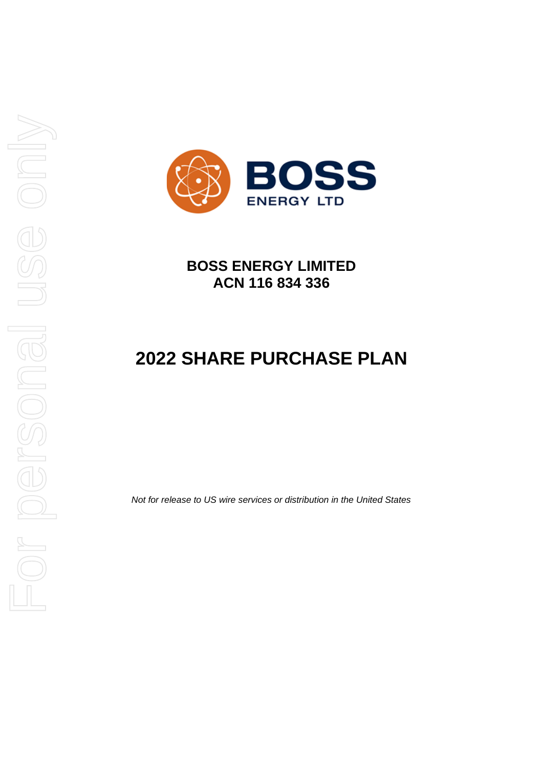

**BOSS ENERGY LIMITED ACN 116 834 336**

# **2022 SHARE PURCHASE PLAN**

*Not for release to US wire services or distribution in the United States*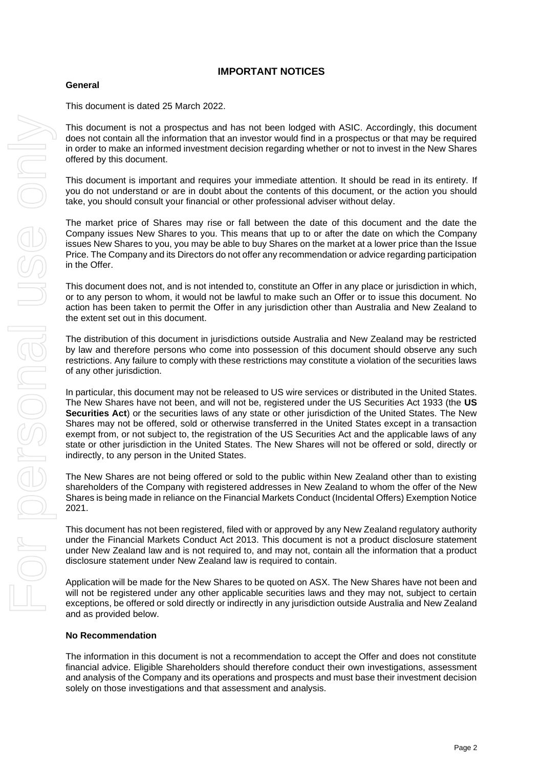# **IMPORTANT NOTICES**

#### **General**

This document is dated 25 March 2022.

This document is not a prospectus and has not been lodged with ASIC. Accordingly, this document does not contain all the information that an investor would find in a prospectus or that may be required in order to make an informed investment decision regarding whether or not to invest in the New Shares offered by this document.

This document is important and requires your immediate attention. It should be read in its entirety. If you do not understand or are in doubt about the contents of this document, or the action you should take, you should consult your financial or other professional adviser without delay.

The market price of Shares may rise or fall between the date of this document and the date the Company issues New Shares to you. This means that up to or after the date on which the Company issues New Shares to you, you may be able to buy Shares on the market at a lower price than the Issue Price. The Company and its Directors do not offer any recommendation or advice regarding participation in the Offer.

This document does not, and is not intended to, constitute an Offer in any place or jurisdiction in which, or to any person to whom, it would not be lawful to make such an Offer or to issue this document. No action has been taken to permit the Offer in any jurisdiction other than Australia and New Zealand to the extent set out in this document.

The distribution of this document in jurisdictions outside Australia and New Zealand may be restricted by law and therefore persons who come into possession of this document should observe any such restrictions. Any failure to comply with these restrictions may constitute a violation of the securities laws of any other jurisdiction.

In particular, this document may not be released to US wire services or distributed in the United States. The New Shares have not been, and will not be, registered under the US Securities Act 1933 (the **US Securities Act**) or the securities laws of any state or other jurisdiction of the United States. The New Shares may not be offered, sold or otherwise transferred in the United States except in a transaction exempt from, or not subject to, the registration of the US Securities Act and the applicable laws of any state or other jurisdiction in the United States. The New Shares will not be offered or sold, directly or indirectly, to any person in the United States.

The New Shares are not being offered or sold to the public within New Zealand other than to existing shareholders of the Company with registered addresses in New Zealand to whom the offer of the New Shares is being made in reliance on the Financial Markets Conduct (Incidental Offers) Exemption Notice 2021.

This document has not been registered, filed with or approved by any New Zealand regulatory authority under the Financial Markets Conduct Act 2013. This document is not a product disclosure statement under New Zealand law and is not required to, and may not, contain all the information that a product disclosure statement under New Zealand law is required to contain.

Application will be made for the New Shares to be quoted on ASX. The New Shares have not been and will not be registered under any other applicable securities laws and they may not, subject to certain exceptions, be offered or sold directly or indirectly in any jurisdiction outside Australia and New Zealand and as provided below.

#### **No Recommendation**

The information in this document is not a recommendation to accept the Offer and does not constitute financial advice. Eligible Shareholders should therefore conduct their own investigations, assessment and analysis of the Company and its operations and prospects and must base their investment decision solely on those investigations and that assessment and analysis.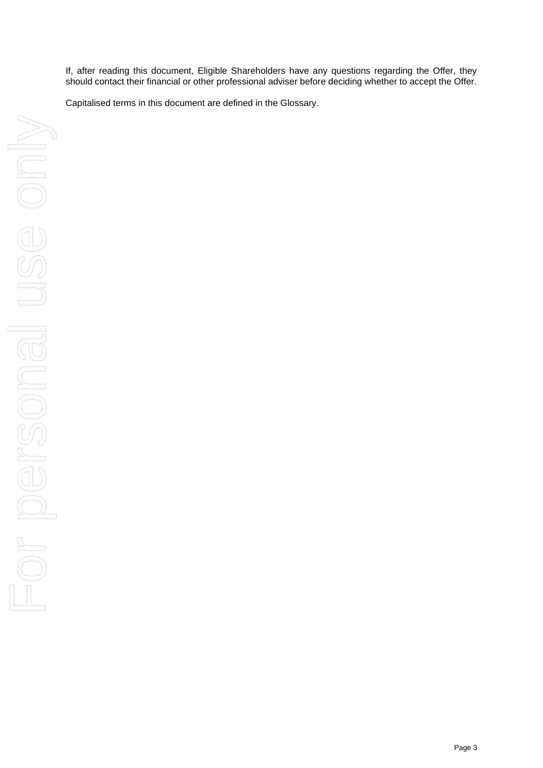If, after reading this document, Eligible Shareholders have any questions regarding the Offer, they should contact their financial or other professional adviser before deciding whether to accept the Offer.

Capitalised terms in this document are defined in the Glossary.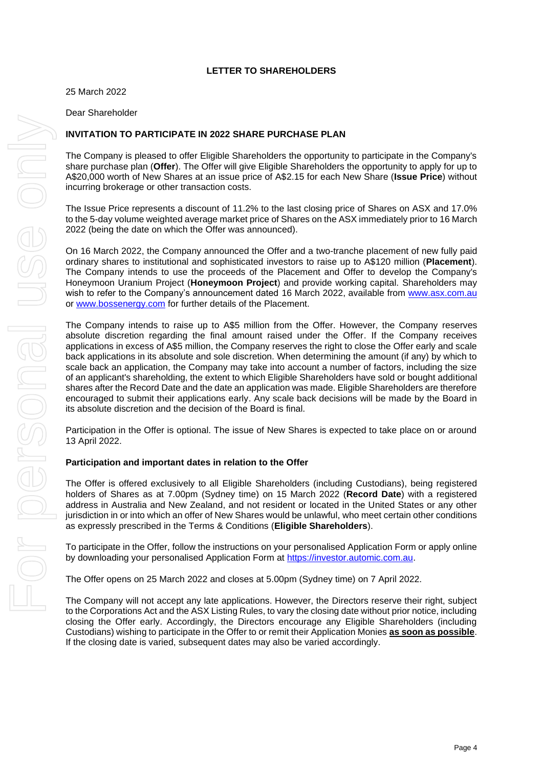#### **LETTER TO SHAREHOLDERS**

25 March 2022

Dear Shareholder

#### **INVITATION TO PARTICIPATE IN 2022 SHARE PURCHASE PLAN**

The Company is pleased to offer Eligible Shareholders the opportunity to participate in the Company's share purchase plan (**Offer**). The Offer will give Eligible Shareholders the opportunity to apply for up to A\$20,000 worth of New Shares at an issue price of A\$2.15 for each New Share (**Issue Price**) without incurring brokerage or other transaction costs.

The Issue Price represents a discount of 11.2% to the last closing price of Shares on ASX and 17.0% to the 5-day volume weighted average market price of Shares on the ASX immediately prior to 16 March 2022 (being the date on which the Offer was announced).

On 16 March 2022, the Company announced the Offer and a two-tranche placement of new fully paid ordinary shares to institutional and sophisticated investors to raise up to A\$120 million (**Placement**). The Company intends to use the proceeds of the Placement and Offer to develop the Company's Honeymoon Uranium Project (**Honeymoon Project**) and provide working capital. Shareholders may wish to refer to the Company's announcement dated 16 March 2022, available from [www.asx.com.au](http://www.asx.com.au/) or [www.bossenergy.com](http://www.bossenergy.com/) for further details of the Placement.

The Company intends to raise up to A\$5 million from the Offer. However, the Company reserves absolute discretion regarding the final amount raised under the Offer. If the Company receives applications in excess of A\$5 million, the Company reserves the right to close the Offer early and scale back applications in its absolute and sole discretion. When determining the amount (if any) by which to scale back an application, the Company may take into account a number of factors, including the size of an applicant's shareholding, the extent to which Eligible Shareholders have sold or bought additional shares after the Record Date and the date an application was made. Eligible Shareholders are therefore encouraged to submit their applications early. Any scale back decisions will be made by the Board in its absolute discretion and the decision of the Board is final.

Participation in the Offer is optional. The issue of New Shares is expected to take place on or around 13 April 2022.

#### **Participation and important dates in relation to the Offer**

The Offer is offered exclusively to all Eligible Shareholders (including Custodians), being registered holders of Shares as at 7.00pm (Sydney time) on 15 March 2022 (**Record Date**) with a registered address in Australia and New Zealand, and not resident or located in the United States or any other jurisdiction in or into which an offer of New Shares would be unlawful, who meet certain other conditions as expressly prescribed in the Terms & Conditions (**Eligible Shareholders**).

To participate in the Offer, follow the instructions on your personalised Application Form or apply online by downloading your personalised Application Form at [https://investor.automic.com.au.](https://aus01.safelinks.protection.outlook.com/?url=https%3A%2F%2Finvestor.automic.com.au%2F&data=04%7C01%7C%7C1ce1db35284b402684ed08d98c5bc38d%7C7e4a842150524163990092bf44244322%7C0%7C0%7C637695148035052826%7CUnknown%7CTWFpbGZsb3d8eyJWIjoiMC4wLjAwMDAiLCJQIjoiV2luMzIiLCJBTiI6Ik1haWwiLCJXVCI6Mn0%3D%7C1000&sdata=eZ3L6Qvr7xPzsNMo1OHIKKPZCdXiJqs7ES98BtoNoNo%3D&reserved=0)

The Offer opens on 25 March 2022 and closes at 5.00pm (Sydney time) on 7 April 2022.

The Company will not accept any late applications. However, the Directors reserve their right, subject to the Corporations Act and the ASX Listing Rules, to vary the closing date without prior notice, including closing the Offer early. Accordingly, the Directors encourage any Eligible Shareholders (including Custodians) wishing to participate in the Offer to or remit their Application Monies **as soon as possible**. If the closing date is varied, subsequent dates may also be varied accordingly.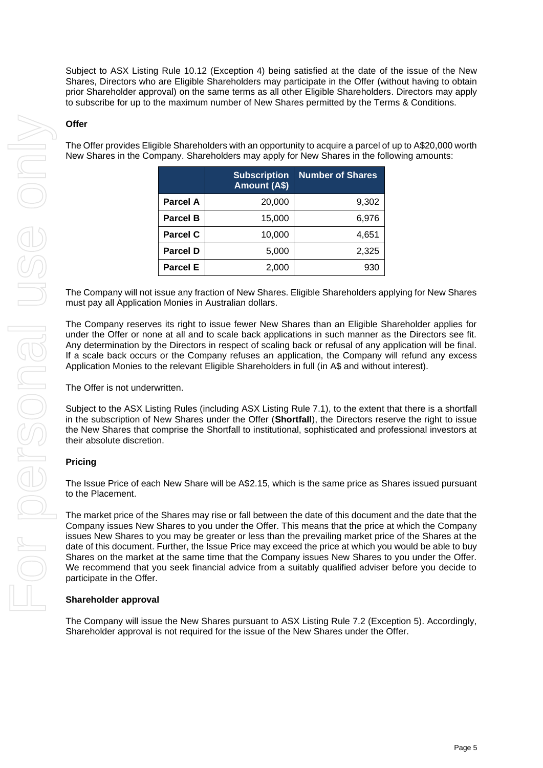Subject to ASX Listing Rule 10.12 (Exception 4) being satisfied at the date of the issue of the New Shares, Directors who are Eligible Shareholders may participate in the Offer (without having to obtain prior Shareholder approval) on the same terms as all other Eligible Shareholders. Directors may apply to subscribe for up to the maximum number of New Shares permitted by the Terms & Conditions.

#### **Offer**

The Offer provides Eligible Shareholders with an opportunity to acquire a parcel of up to A\$20,000 worth New Shares in the Company. Shareholders may apply for New Shares in the following amounts:

|                 | <b>Subscription</b><br>Amount (A\$) | <b>Number of Shares</b> |
|-----------------|-------------------------------------|-------------------------|
| Parcel A        | 20,000                              | 9,302                   |
| <b>Parcel B</b> | 15,000                              | 6,976                   |
| <b>Parcel C</b> | 10,000                              | 4,651                   |
| <b>Parcel D</b> | 5,000                               | 2,325                   |
| <b>Parcel E</b> | 2,000                               | 930                     |

The Company will not issue any fraction of New Shares. Eligible Shareholders applying for New Shares must pay all Application Monies in Australian dollars.

The Company reserves its right to issue fewer New Shares than an Eligible Shareholder applies for under the Offer or none at all and to scale back applications in such manner as the Directors see fit. Any determination by the Directors in respect of scaling back or refusal of any application will be final. If a scale back occurs or the Company refuses an application, the Company will refund any excess Application Monies to the relevant Eligible Shareholders in full (in A\$ and without interest).

The Offer is not underwritten.

Subject to the ASX Listing Rules (including ASX Listing Rule 7.1), to the extent that there is a shortfall in the subscription of New Shares under the Offer (**Shortfall**), the Directors reserve the right to issue the New Shares that comprise the Shortfall to institutional, sophisticated and professional investors at their absolute discretion.

#### **Pricing**

The Issue Price of each New Share will be A\$2.15, which is the same price as Shares issued pursuant to the Placement.

The market price of the Shares may rise or fall between the date of this document and the date that the Company issues New Shares to you under the Offer. This means that the price at which the Company issues New Shares to you may be greater or less than the prevailing market price of the Shares at the date of this document. Further, the Issue Price may exceed the price at which you would be able to buy Shares on the market at the same time that the Company issues New Shares to you under the Offer. We recommend that you seek financial advice from a suitably qualified adviser before you decide to participate in the Offer.

#### **Shareholder approval**

The Company will issue the New Shares pursuant to ASX Listing Rule 7.2 (Exception 5). Accordingly, Shareholder approval is not required for the issue of the New Shares under the Offer.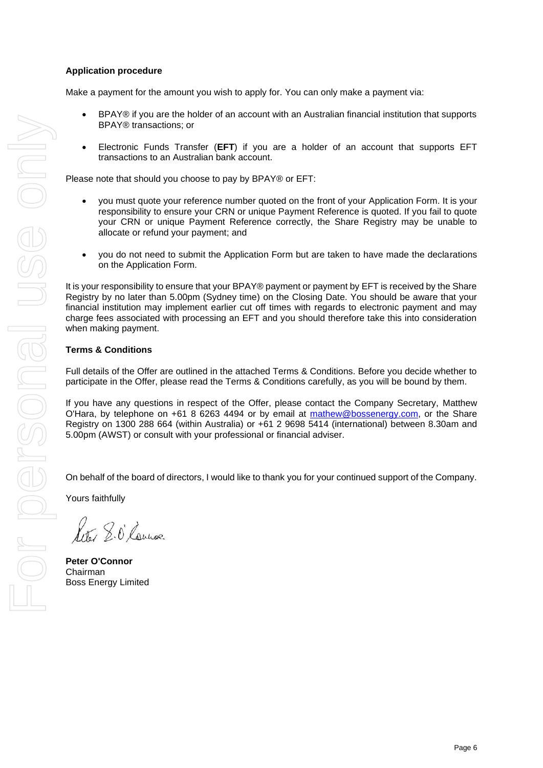#### **Application procedure**

Make a payment for the amount you wish to apply for. You can only make a payment via:

- BPAY® if you are the holder of an account with an Australian financial institution that supports BPAY® transactions; or
- Electronic Funds Transfer (**EFT**) if you are a holder of an account that supports EFT transactions to an Australian bank account.

Please note that should you choose to pay by BPAY® or EFT:

- you must quote your reference number quoted on the front of your Application Form. It is your responsibility to ensure your CRN or unique Payment Reference is quoted. If you fail to quote your CRN or unique Payment Reference correctly, the Share Registry may be unable to allocate or refund your payment; and
- you do not need to submit the Application Form but are taken to have made the declarations on the Application Form.

It is your responsibility to ensure that your BPAY® payment or payment by EFT is received by the Share Registry by no later than 5.00pm (Sydney time) on the Closing Date. You should be aware that your financial institution may implement earlier cut off times with regards to electronic payment and may charge fees associated with processing an EFT and you should therefore take this into consideration when making payment.

#### **Terms & Conditions**

Full details of the Offer are outlined in the attached Terms & Conditions. Before you decide whether to participate in the Offer, please read the Terms & Conditions carefully, as you will be bound by them.

If you have any questions in respect of the Offer, please contact the Company Secretary, Matthew O'Hara, by telephone on +61 8 6263 4494 or by email at [mathew@bossenergy.com,](mailto:mathew@bossenergy.com) or the Share Registry on 1300 288 664 (within Australia) or +61 2 9698 5414 (international) between 8.30am and 5.00pm (AWST) or consult with your professional or financial adviser.

On behalf of the board of directors, I would like to thank you for your continued support of the Company.

Yours faithfully

Leter 8.0 Launas

**Peter O'Connor** Chairman Boss Energy Limited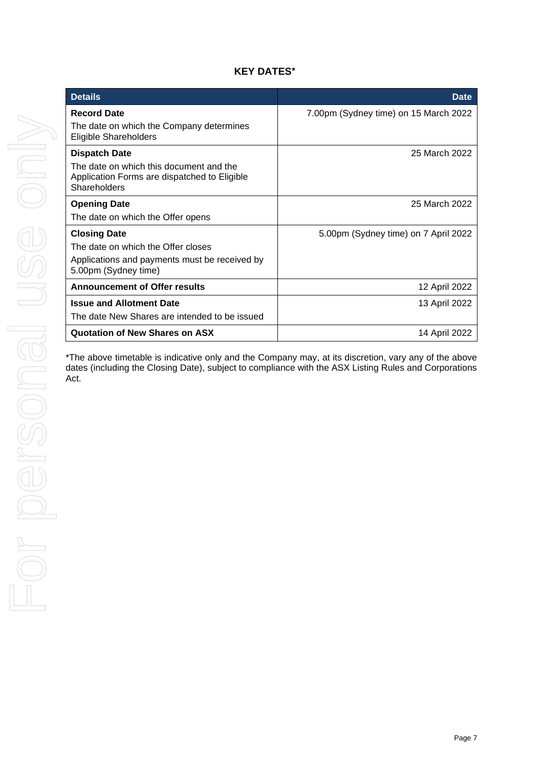# **KEY DATES\***

| <b>Details</b>                                                                                                                     | <b>Date</b>                           |  |
|------------------------------------------------------------------------------------------------------------------------------------|---------------------------------------|--|
| <b>Record Date</b><br>The date on which the Company determines<br><b>Eligible Shareholders</b>                                     | 7.00pm (Sydney time) on 15 March 2022 |  |
| <b>Dispatch Date</b><br>The date on which this document and the<br>Application Forms are dispatched to Eligible<br>Shareholders    | 25 March 2022                         |  |
| <b>Opening Date</b><br>The date on which the Offer opens                                                                           | 25 March 2022                         |  |
| <b>Closing Date</b><br>The date on which the Offer closes<br>Applications and payments must be received by<br>5.00pm (Sydney time) | 5.00pm (Sydney time) on 7 April 2022  |  |
| <b>Announcement of Offer results</b>                                                                                               | 12 April 2022                         |  |
| <b>Issue and Allotment Date</b><br>The date New Shares are intended to be issued                                                   | 13 April 2022                         |  |
| <b>Quotation of New Shares on ASX</b>                                                                                              | 14 April 2022                         |  |

\*The above timetable is indicative only and the Company may, at its discretion, vary any of the above dates (including the Closing Date), subject to compliance with the ASX Listing Rules and Corporations Act.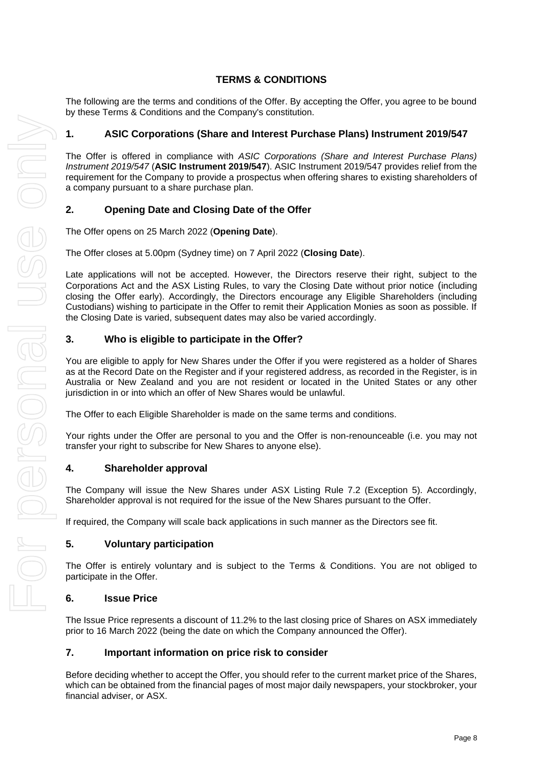# **TERMS & CONDITIONS**

The following are the terms and conditions of the Offer. By accepting the Offer, you agree to be bound by these Terms & Conditions and the Company's constitution.

# **1. ASIC Corporations (Share and Interest Purchase Plans) Instrument 2019/547**

The Offer is offered in compliance with *ASIC Corporations (Share and Interest Purchase Plans) Instrument 2019/547* (**ASIC Instrument 2019/547**). ASIC Instrument 2019/547 provides relief from the requirement for the Company to provide a prospectus when offering shares to existing shareholders of a company pursuant to a share purchase plan.

# <span id="page-7-0"></span>**2. Opening Date and Closing Date of the Offer**

The Offer opens on 25 March 2022 (**Opening Date**).

The Offer closes at 5.00pm (Sydney time) on 7 April 2022 (**Closing Date**).

Late applications will not be accepted. However, the Directors reserve their right, subject to the Corporations Act and the ASX Listing Rules, to vary the Closing Date without prior notice (including closing the Offer early). Accordingly, the Directors encourage any Eligible Shareholders (including Custodians) wishing to participate in the Offer to remit their Application Monies as soon as possible. If the Closing Date is varied, subsequent dates may also be varied accordingly.

# **3. Who is eligible to participate in the Offer?**

You are eligible to apply for New Shares under the Offer if you were registered as a holder of Shares as at the Record Date on the Register and if your registered address, as recorded in the Register, is in Australia or New Zealand and you are not resident or located in the United States or any other jurisdiction in or into which an offer of New Shares would be unlawful.

The Offer to each Eligible Shareholder is made on the same terms and conditions.

Your rights under the Offer are personal to you and the Offer is non-renounceable (i.e. you may not transfer your right to subscribe for New Shares to anyone else).

#### **4. Shareholder approval**

The Company will issue the New Shares under ASX Listing Rule 7.2 (Exception 5). Accordingly, Shareholder approval is not required for the issue of the New Shares pursuant to the Offer.

If required, the Company will scale back applications in such manner as the Directors see fit.

#### **5. Voluntary participation**

The Offer is entirely voluntary and is subject to the Terms & Conditions. You are not obliged to participate in the Offer.

#### **6. Issue Price**

The Issue Price represents a discount of 11.2% to the last closing price of Shares on ASX immediately prior to 16 March 2022 (being the date on which the Company announced the Offer).

#### **7. Important information on price risk to consider**

Before deciding whether to accept the Offer, you should refer to the current market price of the Shares, which can be obtained from the financial pages of most major daily newspapers, your stockbroker, your financial adviser, or ASX.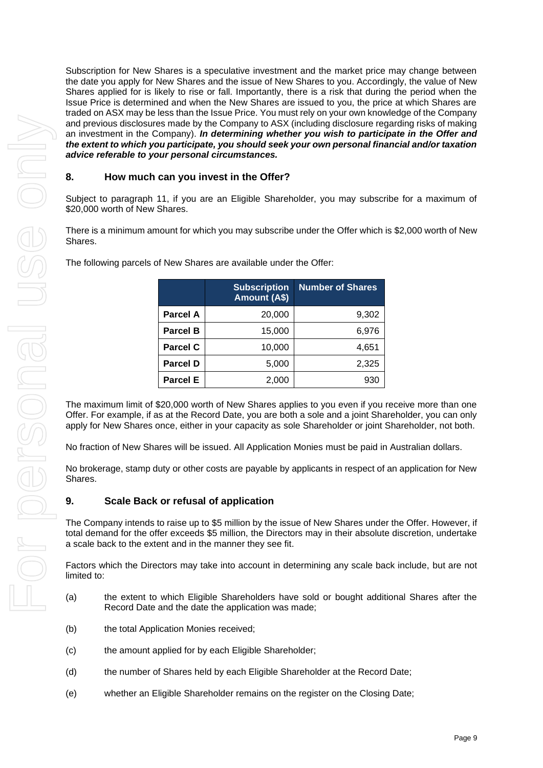Subscription for New Shares is a speculative investment and the market price may change between the date you apply for New Shares and the issue of New Shares to you. Accordingly, the value of New Shares applied for is likely to rise or fall. Importantly, there is a risk that during the period when the Issue Price is determined and when the New Shares are issued to you, the price at which Shares are traded on ASX may be less than the Issue Price. You must rely on your own knowledge of the Company and previous disclosures made by the Company to ASX (including disclosure regarding risks of making an investment in the Company). *In determining whether you wish to participate in the Offer and the extent to which you participate, you should seek your own personal financial and/or taxation advice referable to your personal circumstances.*

# <span id="page-8-0"></span>**8. How much can you invest in the Offer?**

Subject to paragraph [11,](#page-9-0) if you are an Eligible Shareholder, you may subscribe for a maximum of \$20,000 worth of New Shares.

There is a minimum amount for which you may subscribe under the Offer which is \$2,000 worth of New Shares.

|                 | <b>Subscription</b><br>Amount (A\$) | <b>Number of Shares</b> |
|-----------------|-------------------------------------|-------------------------|
| Parcel A        | 20,000                              | 9,302                   |
| Parcel B        | 15,000                              | 6,976                   |
| <b>Parcel C</b> | 10,000                              | 4,651                   |
| <b>Parcel D</b> | 5,000                               | 2,325                   |
| <b>Parcel E</b> | 2,000                               | 930                     |

The following parcels of New Shares are available under the Offer:

The maximum limit of \$20,000 worth of New Shares applies to you even if you receive more than one Offer. For example, if as at the Record Date, you are both a sole and a joint Shareholder, you can only apply for New Shares once, either in your capacity as sole Shareholder or joint Shareholder, not both.

No fraction of New Shares will be issued. All Application Monies must be paid in Australian dollars.

No brokerage, stamp duty or other costs are payable by applicants in respect of an application for New Shares.

# **9. Scale Back or refusal of application**

The Company intends to raise up to \$5 million by the issue of New Shares under the Offer. However, if total demand for the offer exceeds \$5 million, the Directors may in their absolute discretion, undertake a scale back to the extent and in the manner they see fit.

Factors which the Directors may take into account in determining any scale back include, but are not limited to:

- (a) the extent to which Eligible Shareholders have sold or bought additional Shares after the Record Date and the date the application was made;
- (b) the total Application Monies received;
- (c) the amount applied for by each Eligible Shareholder;
- (d) the number of Shares held by each Eligible Shareholder at the Record Date;
- (e) whether an Eligible Shareholder remains on the register on the Closing Date;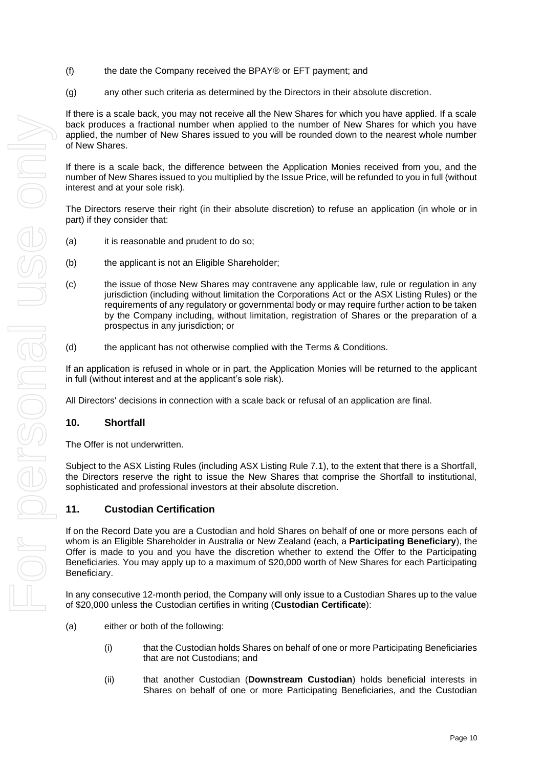- (f) the date the Company received the BPAY® or EFT payment; and
- (g) any other such criteria as determined by the Directors in their absolute discretion.

If there is a scale back, you may not receive all the New Shares for which you have applied. If a scale back produces a fractional number when applied to the number of New Shares for which you have applied, the number of New Shares issued to you will be rounded down to the nearest whole number of New Shares.

If there is a scale back, the difference between the Application Monies received from you, and the number of New Shares issued to you multiplied by the Issue Price, will be refunded to you in full (without interest and at your sole risk).

The Directors reserve their right (in their absolute discretion) to refuse an application (in whole or in part) if they consider that:

- (a) it is reasonable and prudent to do so;
- (b) the applicant is not an Eligible Shareholder;
- (c) the issue of those New Shares may contravene any applicable law, rule or regulation in any jurisdiction (including without limitation the Corporations Act or the ASX Listing Rules) or the requirements of any regulatory or governmental body or may require further action to be taken by the Company including, without limitation, registration of Shares or the preparation of a prospectus in any jurisdiction; or
- (d) the applicant has not otherwise complied with the Terms & Conditions.

If an application is refused in whole or in part, the Application Monies will be returned to the applicant in full (without interest and at the applicant's sole risk).

All Directors' decisions in connection with a scale back or refusal of an application are final.

#### **10. Shortfall**

The Offer is not underwritten.

Subject to the ASX Listing Rules (including ASX Listing Rule 7.1), to the extent that there is a Shortfall, the Directors reserve the right to issue the New Shares that comprise the Shortfall to institutional, sophisticated and professional investors at their absolute discretion.

# <span id="page-9-0"></span>**11. Custodian Certification**

If on the Record Date you are a Custodian and hold Shares on behalf of one or more persons each of whom is an Eligible Shareholder in Australia or New Zealand (each, a **Participating Beneficiary**), the Offer is made to you and you have the discretion whether to extend the Offer to the Participating Beneficiaries. You may apply up to a maximum of \$20,000 worth of New Shares for each Participating Beneficiary.

In any consecutive 12-month period, the Company will only issue to a Custodian Shares up to the value of \$20,000 unless the Custodian certifies in writing (**Custodian Certificate**):

- <span id="page-9-2"></span><span id="page-9-1"></span>(a) either or both of the following:
	- (i) that the Custodian holds Shares on behalf of one or more Participating Beneficiaries that are not Custodians; and
	- (ii) that another Custodian (**Downstream Custodian**) holds beneficial interests in Shares on behalf of one or more Participating Beneficiaries, and the Custodian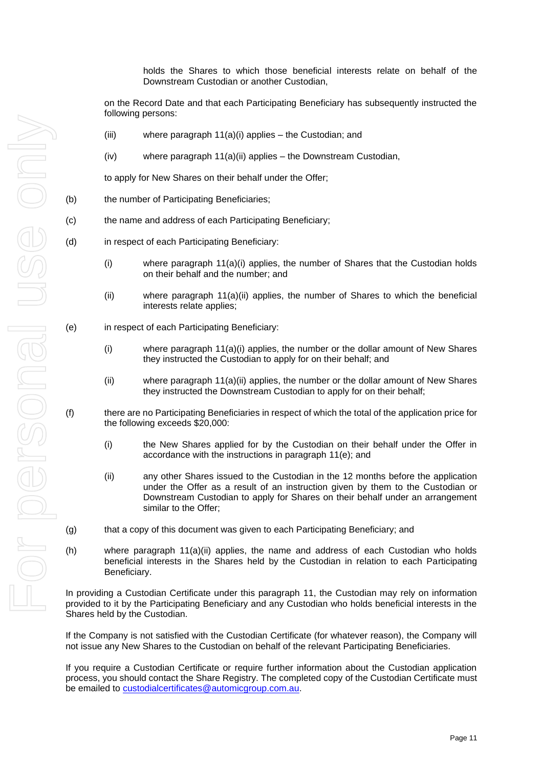holds the Shares to which those beneficial interests relate on behalf of the Downstream Custodian or another Custodian,

on the Record Date and that each Participating Beneficiary has subsequently instructed the following persons:

- (iii) where paragraph [11\(a\)\(i\)](#page-9-1) applies the Custodian; and
- (iv) where paragraph [11\(a\)\(ii\)](#page-9-2) applies the Downstream Custodian,

to apply for New Shares on their behalf under the Offer;

- (b) the number of Participating Beneficiaries;
- (c) the name and address of each Participating Beneficiary;
- (d) in respect of each Participating Beneficiary:
	- (i) where paragraph  $11(a)(i)$  applies, the number of Shares that the Custodian holds on their behalf and the number; and
	- (ii) where paragraph  $11(a)(ii)$  applies, the number of Shares to which the beneficial interests relate applies;
- <span id="page-10-0"></span>(e) in respect of each Participating Beneficiary:
	- (i) where paragraph  $11(a)(i)$  applies, the number or the dollar amount of New Shares they instructed the Custodian to apply for on their behalf; and
	- (ii) where paragraph [11\(a\)\(ii\)](#page-9-2) applies, the number or the dollar amount of New Shares they instructed the Downstream Custodian to apply for on their behalf;
- (f) there are no Participating Beneficiaries in respect of which the total of the application price for the following exceeds \$20,000:
	- (i) the New Shares applied for by the Custodian on their behalf under the Offer in accordance with the instructions in paragraph [11\(e\);](#page-10-0) and
	- (ii) any other Shares issued to the Custodian in the 12 months before the application under the Offer as a result of an instruction given by them to the Custodian or Downstream Custodian to apply for Shares on their behalf under an arrangement similar to the Offer;
- (g) that a copy of this document was given to each Participating Beneficiary; and
- (h) where paragraph [11\(a\)\(ii\)](#page-9-2) applies, the name and address of each Custodian who holds beneficial interests in the Shares held by the Custodian in relation to each Participating Beneficiary.

In providing a Custodian Certificate under this paragraph [11,](#page-9-0) the Custodian may rely on information provided to it by the Participating Beneficiary and any Custodian who holds beneficial interests in the Shares held by the Custodian.

If the Company is not satisfied with the Custodian Certificate (for whatever reason), the Company will not issue any New Shares to the Custodian on behalf of the relevant Participating Beneficiaries.

If you require a Custodian Certificate or require further information about the Custodian application process, you should contact the Share Registry. The completed copy of the Custodian Certificate must be emailed to [custodialcertificates@automicgroup.com.au.](mailto:custodialcertificates@automicgroup.com.au)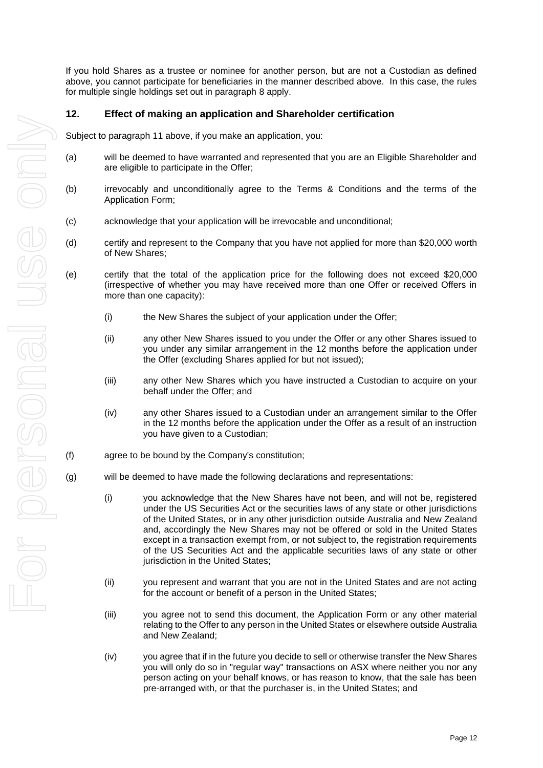If you hold Shares as a trustee or nominee for another person, but are not a Custodian as defined above, you cannot participate for beneficiaries in the manner described above. In this case, the rules for multiple single holdings set out in paragraph [8](#page-8-0) apply.

## **12. Effect of making an application and Shareholder certification**

Subject to paragraph [11](#page-9-0) above, if you make an application, you:

- (a) will be deemed to have warranted and represented that you are an Eligible Shareholder and are eligible to participate in the Offer;
- (b) irrevocably and unconditionally agree to the Terms & Conditions and the terms of the Application Form;
- (c) acknowledge that your application will be irrevocable and unconditional;
- (d) certify and represent to the Company that you have not applied for more than \$20,000 worth of New Shares;
- (e) certify that the total of the application price for the following does not exceed \$20,000 (irrespective of whether you may have received more than one Offer or received Offers in more than one capacity):
	- (i) the New Shares the subject of your application under the Offer;
	- (ii) any other New Shares issued to you under the Offer or any other Shares issued to you under any similar arrangement in the 12 months before the application under the Offer (excluding Shares applied for but not issued);
	- (iii) any other New Shares which you have instructed a Custodian to acquire on your behalf under the Offer; and
	- (iv) any other Shares issued to a Custodian under an arrangement similar to the Offer in the 12 months before the application under the Offer as a result of an instruction you have given to a Custodian;
- (f) agree to be bound by the Company's constitution;
- (g) will be deemed to have made the following declarations and representations:
	- (i) you acknowledge that the New Shares have not been, and will not be, registered under the US Securities Act or the securities laws of any state or other jurisdictions of the United States, or in any other jurisdiction outside Australia and New Zealand and, accordingly the New Shares may not be offered or sold in the United States except in a transaction exempt from, or not subject to, the registration requirements of the US Securities Act and the applicable securities laws of any state or other jurisdiction in the United States;
	- (ii) you represent and warrant that you are not in the United States and are not acting for the account or benefit of a person in the United States;
	- (iii) you agree not to send this document, the Application Form or any other material relating to the Offer to any person in the United States or elsewhere outside Australia and New Zealand;
	- (iv) you agree that if in the future you decide to sell or otherwise transfer the New Shares you will only do so in "regular way" transactions on ASX where neither you nor any person acting on your behalf knows, or has reason to know, that the sale has been pre-arranged with, or that the purchaser is, in the United States; and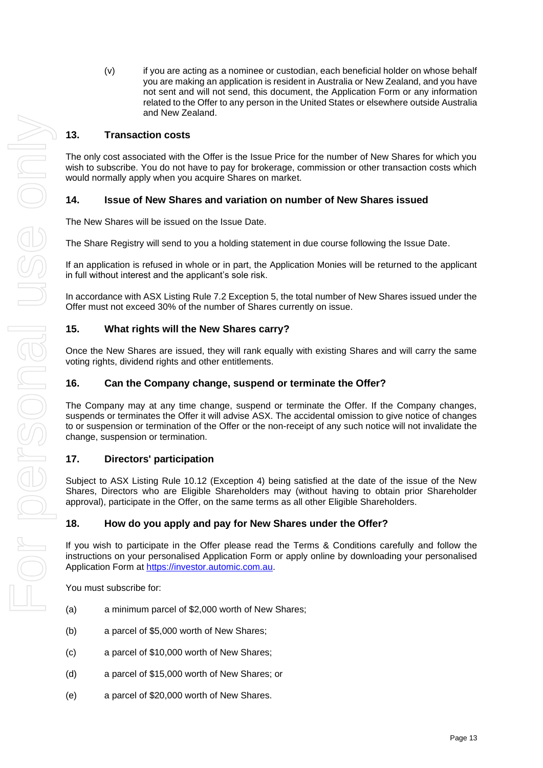(v) if you are acting as a nominee or custodian, each beneficial holder on whose behalf you are making an application is resident in Australia or New Zealand, and you have not sent and will not send, this document, the Application Form or any information related to the Offer to any person in the United States or elsewhere outside Australia and New Zealand.

# **13. Transaction costs**

The only cost associated with the Offer is the Issue Price for the number of New Shares for which you wish to subscribe. You do not have to pay for brokerage, commission or other transaction costs which would normally apply when you acquire Shares on market.

# **14. Issue of New Shares and variation on number of New Shares issued**

The New Shares will be issued on the Issue Date.

The Share Registry will send to you a holding statement in due course following the Issue Date.

If an application is refused in whole or in part, the Application Monies will be returned to the applicant in full without interest and the applicant's sole risk.

In accordance with ASX Listing Rule 7.2 Exception 5, the total number of New Shares issued under the Offer must not exceed 30% of the number of Shares currently on issue.

# **15. What rights will the New Shares carry?**

Once the New Shares are issued, they will rank equally with existing Shares and will carry the same voting rights, dividend rights and other entitlements.

# **16. Can the Company change, suspend or terminate the Offer?**

The Company may at any time change, suspend or terminate the Offer. If the Company changes, suspends or terminates the Offer it will advise ASX. The accidental omission to give notice of changes to or suspension or termination of the Offer or the non-receipt of any such notice will not invalidate the change, suspension or termination.

# **17. Directors' participation**

Subject to ASX Listing Rule 10.12 (Exception 4) being satisfied at the date of the issue of the New Shares, Directors who are Eligible Shareholders may (without having to obtain prior Shareholder approval), participate in the Offer, on the same terms as all other Eligible Shareholders.

# **18. How do you apply and pay for New Shares under the Offer?**

If you wish to participate in the Offer please read the Terms & Conditions carefully and follow the instructions on your personalised Application Form or apply online by downloading your personalised Application Form at [https://investor.automic.com.au.](https://aus01.safelinks.protection.outlook.com/?url=https%3A%2F%2Finvestor.automic.com.au%2F&data=04%7C01%7C%7C1ce1db35284b402684ed08d98c5bc38d%7C7e4a842150524163990092bf44244322%7C0%7C0%7C637695148035052826%7CUnknown%7CTWFpbGZsb3d8eyJWIjoiMC4wLjAwMDAiLCJQIjoiV2luMzIiLCJBTiI6Ik1haWwiLCJXVCI6Mn0%3D%7C1000&sdata=eZ3L6Qvr7xPzsNMo1OHIKKPZCdXiJqs7ES98BtoNoNo%3D&reserved=0)

You must subscribe for:

- (a) a minimum parcel of \$2,000 worth of New Shares;
- (b) a parcel of \$5,000 worth of New Shares;
- (c) a parcel of \$10,000 worth of New Shares;
- (d) a parcel of \$15,000 worth of New Shares; or
- (e) a parcel of \$20,000 worth of New Shares.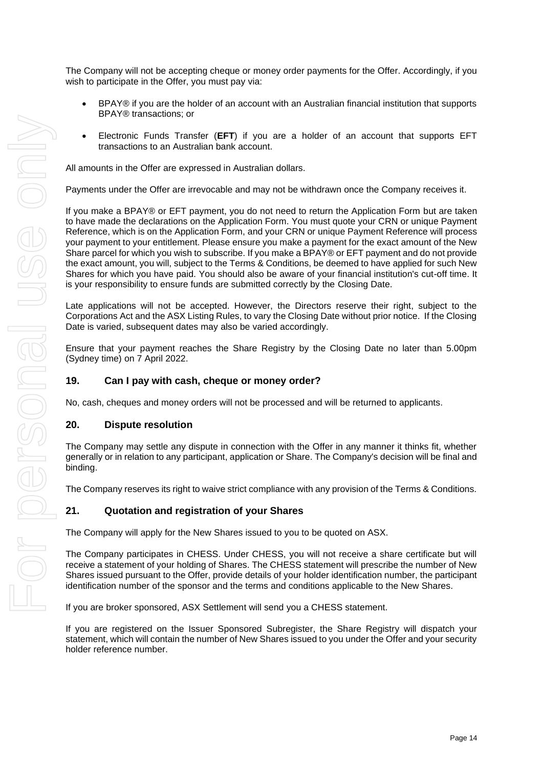The Company will not be accepting cheque or money order payments for the Offer. Accordingly, if you wish to participate in the Offer, you must pay via:

- BPAY® if you are the holder of an account with an Australian financial institution that supports BPAY® transactions; or
- Electronic Funds Transfer (**EFT**) if you are a holder of an account that supports EFT transactions to an Australian bank account.

All amounts in the Offer are expressed in Australian dollars.

Payments under the Offer are irrevocable and may not be withdrawn once the Company receives it.

If you make a BPAY® or EFT payment, you do not need to return the Application Form but are taken to have made the declarations on the Application Form. You must quote your CRN or unique Payment Reference, which is on the Application Form, and your CRN or unique Payment Reference will process your payment to your entitlement. Please ensure you make a payment for the exact amount of the New Share parcel for which you wish to subscribe. If you make a BPAY® or EFT payment and do not provide the exact amount, you will, subject to the Terms & Conditions, be deemed to have applied for such New Shares for which you have paid. You should also be aware of your financial institution's cut-off time. It is your responsibility to ensure funds are submitted correctly by the Closing Date.

Late applications will not be accepted. However, the Directors reserve their right, subject to the Corporations Act and the ASX Listing Rules, to vary the Closing Date without prior notice. If the Closing Date is varied, subsequent dates may also be varied accordingly.

Ensure that your payment reaches the Share Registry by the Closing Date no later than 5.00pm (Sydney time) on 7 April 2022.

#### **19. Can I pay with cash, cheque or money order?**

No, cash, cheques and money orders will not be processed and will be returned to applicants.

#### **20. Dispute resolution**

The Company may settle any dispute in connection with the Offer in any manner it thinks fit, whether generally or in relation to any participant, application or Share. The Company's decision will be final and binding.

The Company reserves its right to waive strict compliance with any provision of the Terms & Conditions.

#### **21. Quotation and registration of your Shares**

The Company will apply for the New Shares issued to you to be quoted on ASX.

The Company participates in CHESS. Under CHESS, you will not receive a share certificate but will receive a statement of your holding of Shares. The CHESS statement will prescribe the number of New Shares issued pursuant to the Offer, provide details of your holder identification number, the participant identification number of the sponsor and the terms and conditions applicable to the New Shares.

If you are broker sponsored, ASX Settlement will send you a CHESS statement.

If you are registered on the Issuer Sponsored Subregister, the Share Registry will dispatch your statement, which will contain the number of New Shares issued to you under the Offer and your security holder reference number.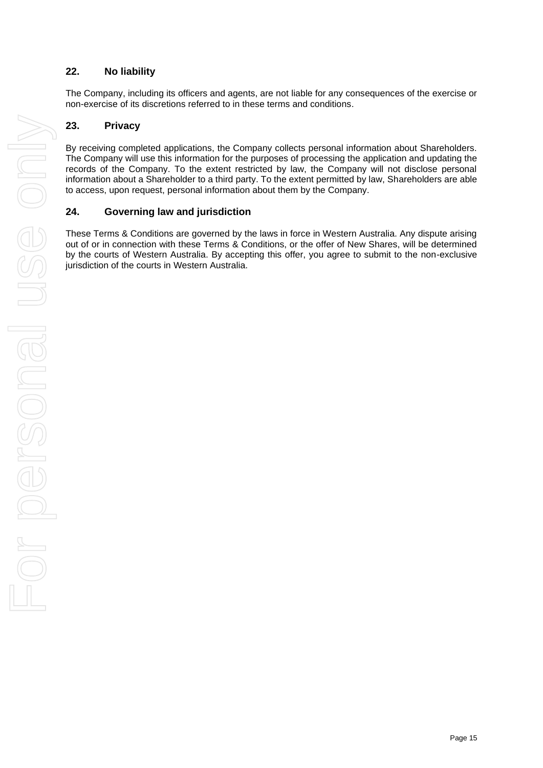## **22. No liability**

The Company, including its officers and agents, are not liable for any consequences of the exercise or non-exercise of its discretions referred to in these terms and conditions.

### **23. Privacy**

By receiving completed applications, the Company collects personal information about Shareholders. The Company will use this information for the purposes of processing the application and updating the records of the Company. To the extent restricted by law, the Company will not disclose personal information about a Shareholder to a third party. To the extent permitted by law, Shareholders are able to access, upon request, personal information about them by the Company.

#### **24. Governing law and jurisdiction**

These Terms & Conditions are governed by the laws in force in Western Australia. Any dispute arising out of or in connection with these Terms & Conditions, or the offer of New Shares, will be determined by the courts of Western Australia. By accepting this offer, you agree to submit to the non-exclusive jurisdiction of the courts in Western Australia.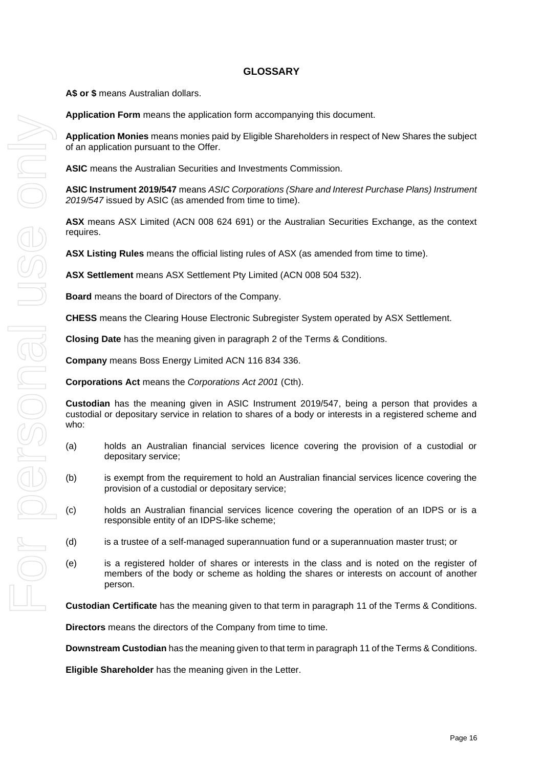### **GLOSSARY**

**A\$ or \$** means Australian dollars.

**Application Form** means the application form accompanying this document.

**Application Monies** means monies paid by Eligible Shareholders in respect of New Shares the subject of an application pursuant to the Offer.

**ASIC** means the Australian Securities and Investments Commission.

**ASIC Instrument 2019/547** means *ASIC Corporations (Share and Interest Purchase Plans) Instrument 2019/547* issued by ASIC (as amended from time to time).

**ASX** means ASX Limited (ACN 008 624 691) or the Australian Securities Exchange, as the context requires.

**ASX Listing Rules** means the official listing rules of ASX (as amended from time to time).

**ASX Settlement** means ASX Settlement Pty Limited (ACN 008 504 532).

**Board** means the board of Directors of the Company.

**CHESS** means the Clearing House Electronic Subregister System operated by ASX Settlement.

**Closing Date** has the meaning given in paragraph [2](#page-7-0) of the Terms & Conditions.

**Company** means Boss Energy Limited ACN 116 834 336.

**Corporations Act** means the *Corporations Act 2001* (Cth).

**Custodian** has the meaning given in ASIC Instrument 2019/547, being a person that provides a custodial or depositary service in relation to shares of a body or interests in a registered scheme and who:

- (a) holds an Australian financial services licence covering the provision of a custodial or depositary service;
- (b) is exempt from the requirement to hold an Australian financial services licence covering the provision of a custodial or depositary service;
- (c) holds an Australian financial services licence covering the operation of an IDPS or is a responsible entity of an IDPS-like scheme;
- (d) is a trustee of a self-managed superannuation fund or a superannuation master trust; or
- (e) is a registered holder of shares or interests in the class and is noted on the register of members of the body or scheme as holding the shares or interests on account of another person.

**Custodian Certificate** has the meaning given to that term in paragraph [11](#page-9-0) of the Terms & Conditions.

**Directors** means the directors of the Company from time to time.

**Downstream Custodian** has the meaning given to that term in paragrap[h 11](#page-9-0) of the Terms & Conditions.

**Eligible Shareholder** has the meaning given in the Letter.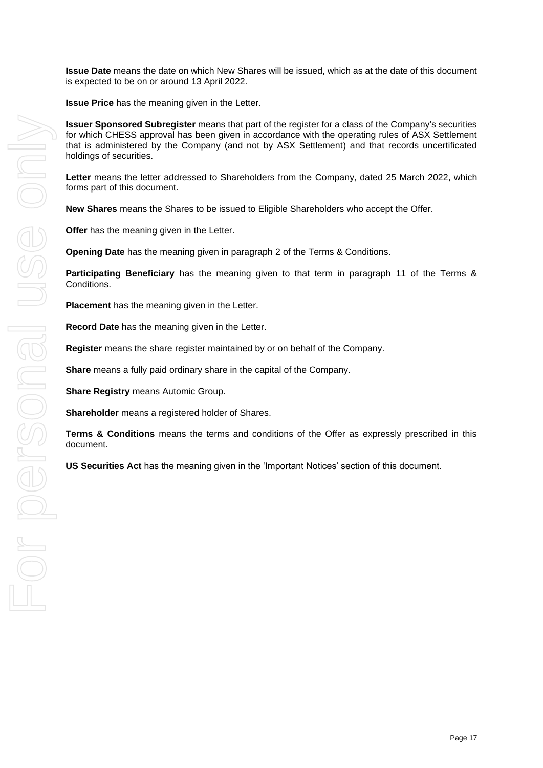**Issue Date** means the date on which New Shares will be issued, which as at the date of this document is expected to be on or around 13 April 2022.

**Issue Price** has the meaning given in the Letter.

**Issuer Sponsored Subregister** means that part of the register for a class of the Company's securities for which CHESS approval has been given in accordance with the operating rules of ASX Settlement that is administered by the Company (and not by ASX Settlement) and that records uncertificated holdings of securities.

**Letter** means the letter addressed to Shareholders from the Company, dated 25 March 2022, which forms part of this document.

**New Shares** means the Shares to be issued to Eligible Shareholders who accept the Offer.

**Offer** has the meaning given in the Letter.

**Opening Date** has the meaning given in paragraph [2](#page-7-0) of the Terms & Conditions.

**Participating Beneficiary** has the meaning given to that term in paragraph [11](#page-9-0) of the Terms & Conditions.

**Placement** has the meaning given in the Letter.

**Record Date** has the meaning given in the Letter.

**Register** means the share register maintained by or on behalf of the Company.

**Share** means a fully paid ordinary share in the capital of the Company.

**Share Registry** means Automic Group.

**Shareholder** means a registered holder of Shares.

**Terms & Conditions** means the terms and conditions of the Offer as expressly prescribed in this document.

**US Securities Act** has the meaning given in the 'Important Notices' section of this document.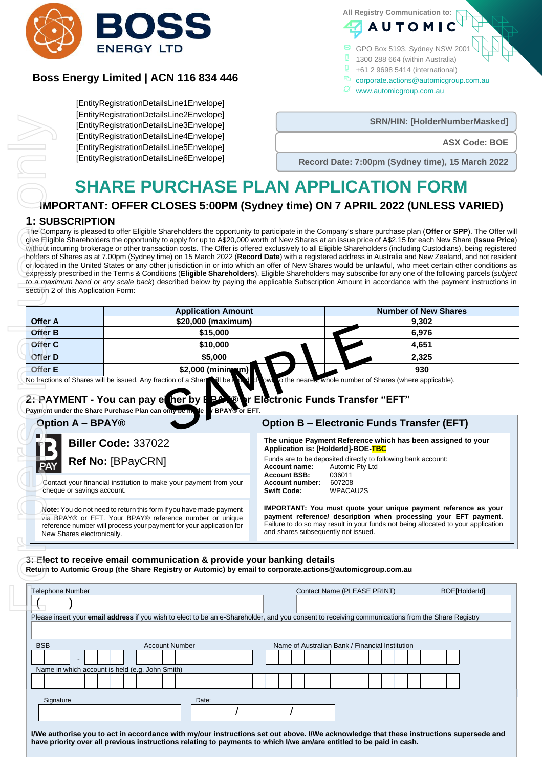

# **Boss Energy Limited | ACN 116 834 446**

[EntityRegistrationDetailsLine1Envelope] [EntityRegistrationDetailsLine2Envelope] [EntityRegistrationDetailsLine3Envelope] [EntityRegistrationDetailsLine4Envelope] [EntityRegistrationDetailsLine5Envelope] [EntityRegistrationDetailsLine6Envelope]

**All Registry Communication to:**

GPO Box 5193, Sydney NSW 2001

**AUTOMI** 

- 1300 288 664 (within Australia)
- +61 2 9698 5414 (international)
- corporate.actions@automicgroup.com.au
	- www.automicgroup.com.au

**SRN/HIN: [HolderNumberMasked]** 

# **SHARE PURCHASE PLAN APPLICATION FORM**

# **IMPORTANT: OFFER CLOSES 5:00PM (Sydney time) ON 7 APRIL 2022 (UNLESS VARIED)**

### **1: SUBSCRIPTION**

| Linny region anonDetailoLine_Linvelope <br>[EntityRegistrationDetailsLine3Envelope] |                                                                                                                                                                                                                                                                                                                                                                                                                                                                                                                                                                                                                                                                                                                                                                                                                                                                                                                                                                                                                                                                                                                                                                      |                                                  | SRN/HIN: [HolderNumberMasked]                                                                                                                                                                                            |  |
|-------------------------------------------------------------------------------------|----------------------------------------------------------------------------------------------------------------------------------------------------------------------------------------------------------------------------------------------------------------------------------------------------------------------------------------------------------------------------------------------------------------------------------------------------------------------------------------------------------------------------------------------------------------------------------------------------------------------------------------------------------------------------------------------------------------------------------------------------------------------------------------------------------------------------------------------------------------------------------------------------------------------------------------------------------------------------------------------------------------------------------------------------------------------------------------------------------------------------------------------------------------------|--------------------------------------------------|--------------------------------------------------------------------------------------------------------------------------------------------------------------------------------------------------------------------------|--|
|                                                                                     | [EntityRegistrationDetailsLine4Envelope]<br>[EntityRegistrationDetailsLine5Envelope]                                                                                                                                                                                                                                                                                                                                                                                                                                                                                                                                                                                                                                                                                                                                                                                                                                                                                                                                                                                                                                                                                 |                                                  | <b>ASX Code: BOE</b>                                                                                                                                                                                                     |  |
|                                                                                     | [EntityRegistrationDetailsLine6Envelope]                                                                                                                                                                                                                                                                                                                                                                                                                                                                                                                                                                                                                                                                                                                                                                                                                                                                                                                                                                                                                                                                                                                             | Record Date: 7:00pm (Sydney time), 15 March 2022 |                                                                                                                                                                                                                          |  |
|                                                                                     |                                                                                                                                                                                                                                                                                                                                                                                                                                                                                                                                                                                                                                                                                                                                                                                                                                                                                                                                                                                                                                                                                                                                                                      |                                                  |                                                                                                                                                                                                                          |  |
|                                                                                     | <b>SHARE PURCHASE PLAN APPLICATION FORM</b>                                                                                                                                                                                                                                                                                                                                                                                                                                                                                                                                                                                                                                                                                                                                                                                                                                                                                                                                                                                                                                                                                                                          |                                                  |                                                                                                                                                                                                                          |  |
|                                                                                     | IMPORTANT: OFFER CLOSES 5:00PM (Sydney time) ON 7 APRIL 2022 (UNLESS VARIED)                                                                                                                                                                                                                                                                                                                                                                                                                                                                                                                                                                                                                                                                                                                                                                                                                                                                                                                                                                                                                                                                                         |                                                  |                                                                                                                                                                                                                          |  |
| <b>1: SUBSCRIPTION</b>                                                              |                                                                                                                                                                                                                                                                                                                                                                                                                                                                                                                                                                                                                                                                                                                                                                                                                                                                                                                                                                                                                                                                                                                                                                      |                                                  |                                                                                                                                                                                                                          |  |
|                                                                                     | The Company is pleased to offer Eligible Shareholders the opportunity to participate in the Company's share purchase plan (Offer or SPP). The Offer will<br>give Eligible Shareholders the opportunity to apply for up to A\$20,000 worth of New Shares at an issue price of A\$2.15 for each New Share (Issue Price)<br>without incurring brokerage or other transaction costs. The Offer is offered exclusively to all Eligible Shareholders (including Custodians), being registered<br>holders of Shares as at 7.00pm (Sydney time) on 15 March 2022 (Record Date) with a registered address in Australia and New Zealand, and not resident<br>or located in the United States or any other jurisdiction in or into which an offer of New Shares would be unlawful, who meet certain other conditions as<br>expressly prescribed in the Terms & Conditions (Eligible Shareholders). Eligible Shareholders may subscribe for any one of the following parcels (subject<br>to a maximum band or any scale back) described below by paying the applicable Subscription Amount in accordance with the payment instructions in<br>section 2 of this Application Form: |                                                  |                                                                                                                                                                                                                          |  |
|                                                                                     | <b>Application Amount</b>                                                                                                                                                                                                                                                                                                                                                                                                                                                                                                                                                                                                                                                                                                                                                                                                                                                                                                                                                                                                                                                                                                                                            |                                                  | <b>Number of New Shares</b>                                                                                                                                                                                              |  |
| <b>Offer A</b>                                                                      | \$20,000 (maximum)                                                                                                                                                                                                                                                                                                                                                                                                                                                                                                                                                                                                                                                                                                                                                                                                                                                                                                                                                                                                                                                                                                                                                   |                                                  | 9,302                                                                                                                                                                                                                    |  |
|                                                                                     |                                                                                                                                                                                                                                                                                                                                                                                                                                                                                                                                                                                                                                                                                                                                                                                                                                                                                                                                                                                                                                                                                                                                                                      |                                                  |                                                                                                                                                                                                                          |  |
| <b>Offer B</b>                                                                      | \$15,000                                                                                                                                                                                                                                                                                                                                                                                                                                                                                                                                                                                                                                                                                                                                                                                                                                                                                                                                                                                                                                                                                                                                                             |                                                  | 6,976                                                                                                                                                                                                                    |  |
| Offer C                                                                             | \$10,000                                                                                                                                                                                                                                                                                                                                                                                                                                                                                                                                                                                                                                                                                                                                                                                                                                                                                                                                                                                                                                                                                                                                                             |                                                  | 4,651                                                                                                                                                                                                                    |  |
|                                                                                     | \$5,000                                                                                                                                                                                                                                                                                                                                                                                                                                                                                                                                                                                                                                                                                                                                                                                                                                                                                                                                                                                                                                                                                                                                                              |                                                  | 2,325                                                                                                                                                                                                                    |  |
|                                                                                     | \$2,000 (minimum)<br>No fractions of Shares will be issued. Any fraction of a Share will be a bode if                                                                                                                                                                                                                                                                                                                                                                                                                                                                                                                                                                                                                                                                                                                                                                                                                                                                                                                                                                                                                                                                |                                                  | 930<br>bwn of the near of whole number of Shares (where applicable).                                                                                                                                                     |  |
|                                                                                     | 2: PAYMENT - You can pay either by BPAX® or Electronic Funds Transfer "EFT"<br>Payment under the Share Purchase Plan can on<br>de by BPAX or EFT.                                                                                                                                                                                                                                                                                                                                                                                                                                                                                                                                                                                                                                                                                                                                                                                                                                                                                                                                                                                                                    |                                                  |                                                                                                                                                                                                                          |  |
|                                                                                     | <b>Option A - BPAY®</b>                                                                                                                                                                                                                                                                                                                                                                                                                                                                                                                                                                                                                                                                                                                                                                                                                                                                                                                                                                                                                                                                                                                                              |                                                  | <b>Option B - Electronic Funds Transfer (EFT)</b><br>The unique Payment Reference which has been assigned to your                                                                                                        |  |
| Offer D<br>Offer E                                                                  | <b>Biller Code: 337022</b>                                                                                                                                                                                                                                                                                                                                                                                                                                                                                                                                                                                                                                                                                                                                                                                                                                                                                                                                                                                                                                                                                                                                           | Application is: [HolderId]-BOE-TBC               |                                                                                                                                                                                                                          |  |
|                                                                                     | Ref No: [BPayCRN]                                                                                                                                                                                                                                                                                                                                                                                                                                                                                                                                                                                                                                                                                                                                                                                                                                                                                                                                                                                                                                                                                                                                                    |                                                  | Funds are to be deposited directly to following bank account:                                                                                                                                                            |  |
| PAY                                                                                 |                                                                                                                                                                                                                                                                                                                                                                                                                                                                                                                                                                                                                                                                                                                                                                                                                                                                                                                                                                                                                                                                                                                                                                      | Account name:<br><b>Account BSB:</b>             | Automic Pty Ltd<br>036011                                                                                                                                                                                                |  |
|                                                                                     | Contact your financial institution to make your payment from your<br>cheque or savings account.                                                                                                                                                                                                                                                                                                                                                                                                                                                                                                                                                                                                                                                                                                                                                                                                                                                                                                                                                                                                                                                                      | Account number:<br><b>Swift Code:</b>            | 607208<br>WPACAU2S                                                                                                                                                                                                       |  |
|                                                                                     | Note: You do not need to return this form if you have made payment<br>via BPAY® or EFT. Your BPAY® reference number or unique<br>reference number will process your payment for your application for                                                                                                                                                                                                                                                                                                                                                                                                                                                                                                                                                                                                                                                                                                                                                                                                                                                                                                                                                                 |                                                  |                                                                                                                                                                                                                          |  |
|                                                                                     | New Shares electronically.                                                                                                                                                                                                                                                                                                                                                                                                                                                                                                                                                                                                                                                                                                                                                                                                                                                                                                                                                                                                                                                                                                                                           | and shares subsequently not issued.              |                                                                                                                                                                                                                          |  |
|                                                                                     |                                                                                                                                                                                                                                                                                                                                                                                                                                                                                                                                                                                                                                                                                                                                                                                                                                                                                                                                                                                                                                                                                                                                                                      |                                                  |                                                                                                                                                                                                                          |  |
|                                                                                     | 3. Elect to receive email communication & provide your banking details<br>Return to Automic Group (the Share Registry or Automic) by email to corporate.actions@automicgroup.com.au                                                                                                                                                                                                                                                                                                                                                                                                                                                                                                                                                                                                                                                                                                                                                                                                                                                                                                                                                                                  |                                                  | IMPORTANT: You must quote your unique payment reference as your<br>payment reference/ description when processing your EFT payment.<br>Failure to do so may result in your funds not being allocated to your application |  |
| Telephone Number                                                                    |                                                                                                                                                                                                                                                                                                                                                                                                                                                                                                                                                                                                                                                                                                                                                                                                                                                                                                                                                                                                                                                                                                                                                                      |                                                  | Contact Name (PLEASE PRINT)<br>BOE[HolderId]                                                                                                                                                                             |  |

| <b>Telephone Number</b>                                                                                                                                                                                                                                       | Contact Name (PLEASE PRINT)                     | BOE[HolderId] |  |  |  |  |  |
|---------------------------------------------------------------------------------------------------------------------------------------------------------------------------------------------------------------------------------------------------------------|-------------------------------------------------|---------------|--|--|--|--|--|
|                                                                                                                                                                                                                                                               |                                                 |               |  |  |  |  |  |
| Please insert your <b>email address</b> if you wish to elect to be an e-Shareholder, and you consent to receiving communications from the Share Registry                                                                                                      |                                                 |               |  |  |  |  |  |
|                                                                                                                                                                                                                                                               |                                                 |               |  |  |  |  |  |
| <b>BSB</b><br><b>Account Number</b>                                                                                                                                                                                                                           | Name of Australian Bank / Financial Institution |               |  |  |  |  |  |
|                                                                                                                                                                                                                                                               |                                                 |               |  |  |  |  |  |
| Name in which account is held (e.g. John Smith)                                                                                                                                                                                                               |                                                 |               |  |  |  |  |  |
|                                                                                                                                                                                                                                                               |                                                 |               |  |  |  |  |  |
| Signature<br>Date:                                                                                                                                                                                                                                            |                                                 |               |  |  |  |  |  |
|                                                                                                                                                                                                                                                               |                                                 |               |  |  |  |  |  |
| I/We authorise you to act in accordance with my/our instructions set out above. I/We acknowledge that these instructions supersede and<br>have priority over all previous instructions relating to payments to which I/we am/are entitled to be paid in cash. |                                                 |               |  |  |  |  |  |